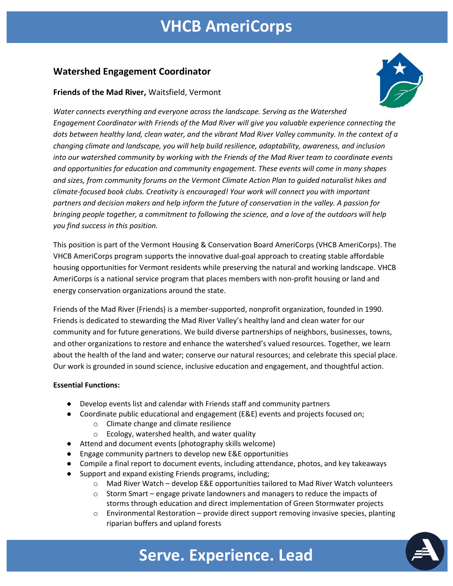### **VHCB AmeriCorps**

### **Watershed Engagement Coordinator**

#### **Friends of the Mad River,** Waitsfield, Vermont



*Water connects everything and everyone across the landscape. Serving as the Watershed Engagement Coordinator with Friends of the Mad River will give you valuable experience connecting the dots between healthy land, clean water, and the vibrant Mad River Valley community. In the context of a changing climate and landscape, you will help build resilience, adaptability, awareness, and inclusion into our watershed community by working with the Friends of the Mad River team to coordinate events and opportunities for education and community engagement. These events will come in many shapes and sizes, from community forums on the Vermont Climate Action Plan to guided naturalist hikes and climate-focused book clubs. Creativity is encouraged! Your work will connect you with important partners and decision makers and help inform the future of conservation in the valley. A passion for bringing people together, a commitment to following the science, and a love of the outdoors will help you find success in this position.*

This position is part of the Vermont Housing & Conservation Board AmeriCorps (VHCB AmeriCorps). The VHCB AmeriCorps program supports the innovative dual-goal approach to creating stable affordable housing opportunities for Vermont residents while preserving the natural and working landscape. VHCB AmeriCorps is a national service program that places members with non-profit housing or land and energy conservation organizations around the state.

Friends of the Mad River (Friends) is a member-supported, nonprofit organization, founded in 1990. Friends is dedicated to stewarding the Mad River Valley's healthy land and clean water for our community and for future generations. We build diverse partnerships of neighbors, businesses, towns, and other organizations to restore and enhance the watershed's valued resources. Together, we learn about the health of the land and water; conserve our natural resources; and celebrate this special place. Our work is grounded in sound science, inclusive education and engagement, and thoughtful action.

#### **Essential Functions:**

- Develop events list and calendar with Friends staff and community partners
- Coordinate public educational and engagement (E&E) events and projects focused on;
	- o Climate change and climate resilience
	- o Ecology, watershed health, and water quality
- Attend and document events (photography skills welcome)
- Engage community partners to develop new E&E opportunities
- Compile a final report to document events, including attendance, photos, and key takeaways
- Support and expand existing Friends programs, including;
	- o Mad River Watch develop E&E opportunities tailored to Mad River Watch volunteers
	- $\circ$  Storm Smart engage private landowners and managers to reduce the impacts of storms through education and direct implementation of Green Stormwater projects
	- $\circ$  Environmental Restoration provide direct support removing invasive species, planting riparian buffers and upland forests



### **Serve. Experience. Lead**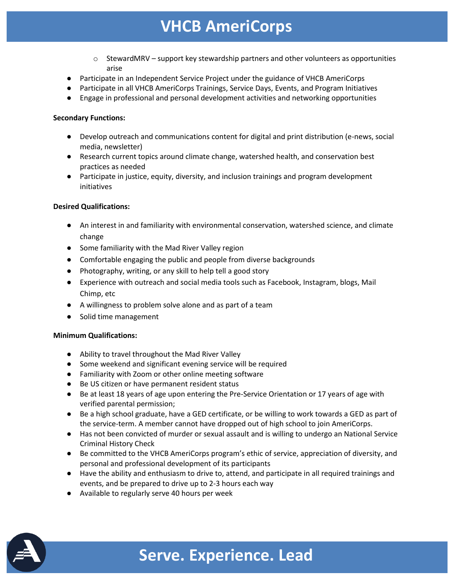### **VHCB AmeriCorps**

- $\circ$  StewardMRV support key stewardship partners and other volunteers as opportunities arise
- Participate in an Independent Service Project under the guidance of VHCB AmeriCorps
- Participate in all VHCB AmeriCorps Trainings, Service Days, Events, and Program Initiatives
- Engage in professional and personal development activities and networking opportunities

#### **Secondary Functions:**

- Develop outreach and communications content for digital and print distribution (e-news, social media, newsletter)
- Research current topics around climate change, watershed health, and conservation best practices as needed
- Participate in justice, equity, diversity, and inclusion trainings and program development initiatives

#### **Desired Qualifications:**

- An interest in and familiarity with environmental conservation, watershed science, and climate change
- Some familiarity with the Mad River Valley region
- Comfortable engaging the public and people from diverse backgrounds
- Photography, writing, or any skill to help tell a good story
- Experience with outreach and social media tools such as Facebook, Instagram, blogs, Mail Chimp, etc
- A willingness to problem solve alone and as part of a team
- Solid time management

#### **Minimum Qualifications:**

- Ability to travel throughout the Mad River Valley
- Some weekend and significant evening service will be required
- Familiarity with Zoom or other online meeting software
- Be US citizen or have permanent resident status
- Be at least 18 years of age upon entering the Pre-Service Orientation or 17 years of age with verified parental permission;
- Be a high school graduate, have a GED certificate, or be willing to work towards a GED as part of the service-term. A member cannot have dropped out of high school to join AmeriCorps.
- Has not been convicted of murder or sexual assault and is willing to undergo an National Service Criminal History Check
- Be committed to the VHCB AmeriCorps program's ethic of service, appreciation of diversity, and personal and professional development of its participants
- Have the ability and enthusiasm to drive to, attend, and participate in all required trainings and events, and be prepared to drive up to 2-3 hours each way
- Available to regularly serve 40 hours per week



# **Serve. Experience. Lead**